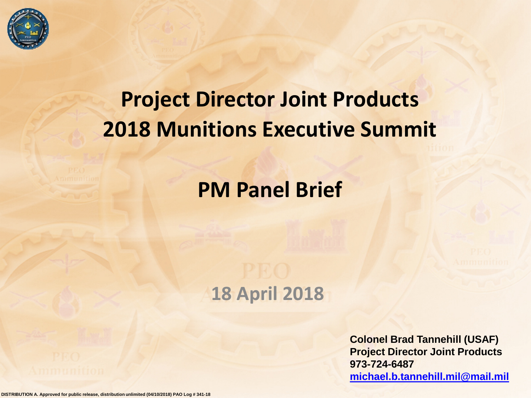

# **Project Director Joint Products 2018 Munitions Executive Summit**

# **PM Panel Brief**

### **18 April 2018**

**Colonel Brad Tannehill (USAF) Project Director Joint Products 973-724-6487 [michael.b.tannehill.mil@mail.mil](mailto:Michael.b.tannehill.mil@mail.mil)**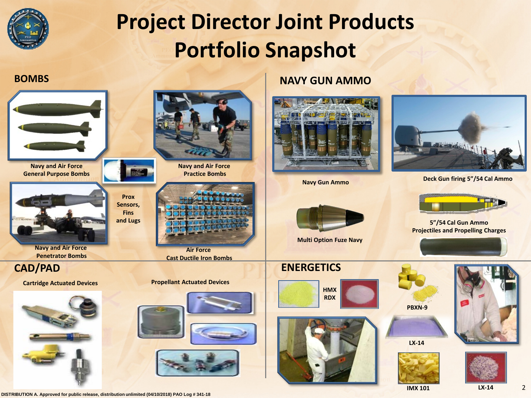

# **Project Director Joint Products Portfolio Snapshot**



**Navy and Air Force General Purpose Bombs**

**Navy and Air Force Penetrator Bombs**



**Air Force Cast Ductile Iron Bombs**

**Prox Sensors, Fins**

**Signal** 

#### **Cartridge Actuated Devices Propellant Actuated Devices**



**Navy and Air Force Practice Bombs**



### **BOMBS NAVY GUN AMMO**





**Navy Gun Ammo Deck Gun firing 5"/54 Cal Ammo**

**Projectiles and Propelling Charges**



**Multi Option Fuze Navy**

### **CAD/PAD ENERGETICS**









**LX-14**





**IMX 101 LX-14**

2

**DISTRIBUTION A. Approved for public release, distribution unlimited (04/10/2018) PAO Log # 341-18**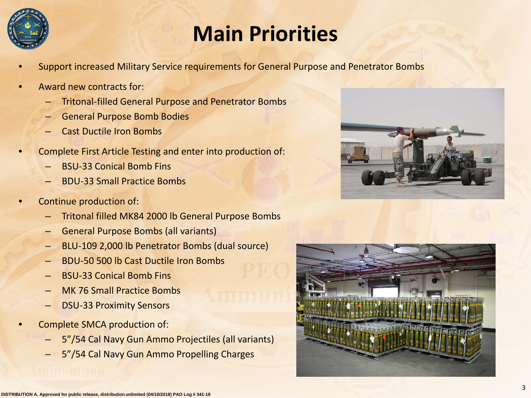

# **Main Priorities**

- Support increased Military Service requirements for General Purpose and Penetrator Bombs
- Award new contracts for:
	- Tritonal-filled General Purpose and Penetrator Bombs
	- General Purpose Bomb Bodies
	- Cast Ductile Iron Bombs
- Complete First Article Testing and enter into production of:
	- BSU-33 Conical Bomb Fins
	- BDU-33 Small Practice Bombs
- Continue production of:
	- Tritonal filled MK84 2000 lb General Purpose Bombs
	- General Purpose Bombs (all variants)
	- BLU-109 2,000 lb Penetrator Bombs (dual source)
	- BDU-50 500 lb Cast Ductile Iron Bombs
	- BSU-33 Conical Bomb Fins
	- MK 76 Small Practice Bombs
	- DSU-33 Proximity Sensors
- Complete SMCA production of:
	- 5"/54 Cal Navy Gun Ammo Projectiles (all variants)
	- 5"/54 Cal Navy Gun Ammo Propelling Charges



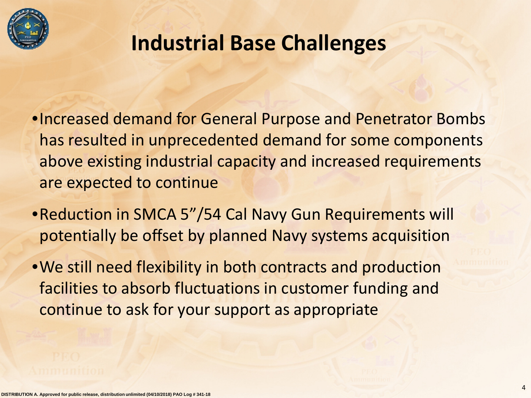

# **Industrial Base Challenges**

- •Increased demand for General Purpose and Penetrator Bombs has resulted in unprecedented demand for some components above existing industrial capacity and increased requirements are expected to continue
- •Reduction in SMCA 5"/54 Cal Navy Gun Requirements will potentially be offset by planned Navy systems acquisition
- •We still need flexibility in both contracts and production facilities to absorb fluctuations in customer funding and continue to ask for your support as appropriate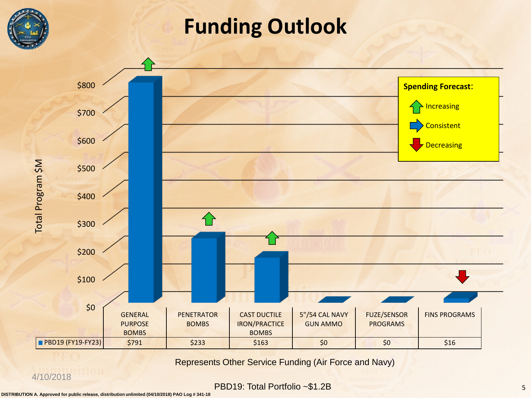

# **Funding Outlook**



Represents Other Service Funding (Air Force and Navy)

#### 4/10/2018

PBD19: Total Portfolio ~\$1.2B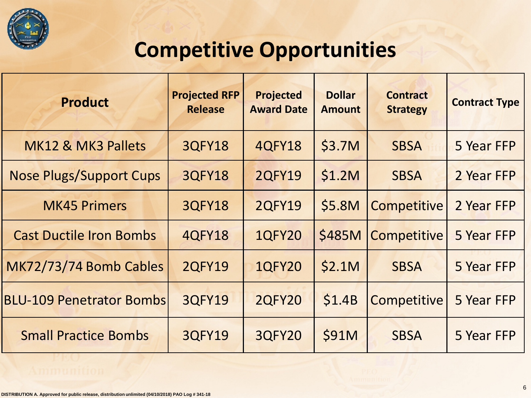![](_page_5_Picture_0.jpeg)

# **Competitive Opportunities**

| <b>Product</b>                  | <b>Projected RFP</b><br><b>Release</b> | <b>Projected</b><br><b>Award Date</b> | <b>Dollar</b><br><b>Amount</b> | <b>Contract</b><br><b>Strategy</b> | <b>Contract Type</b> |
|---------------------------------|----------------------------------------|---------------------------------------|--------------------------------|------------------------------------|----------------------|
| MK12 & MK3 Pallets              | <b>3QFY18</b>                          | <b>4QFY18</b>                         | \$3.7M                         | <b>SBSA</b>                        | 5 Year FFP           |
| <b>Nose Plugs/Support Cups</b>  | <b>3QFY18</b>                          | <b>2QFY19</b>                         | \$1.2M                         | <b>SBSA</b>                        | 2 Year FFP           |
| <b>MK45 Primers</b>             | <b>3QFY18</b>                          | <b>2QFY19</b>                         | \$5.8M                         | <b>Competitive</b>                 | 2 Year FFP           |
| <b>Cast Ductile Iron Bombs</b>  | <b>4QFY18</b>                          | <b>1QFY20</b>                         | \$485M                         | <b>Competitive</b>                 | 5 Year FFP           |
| MK72/73/74 Bomb Cables          | <b>2QFY19</b>                          | <b>1QFY20</b>                         | \$2.1M                         | <b>SBSA</b>                        | 5 Year FFP           |
| <b>BLU-109 Penetrator Bombs</b> | <b>3QFY19</b>                          | <b>2QFY20</b>                         | \$1.4B                         | Competitive                        | 5 Year FFP           |
| <b>Small Practice Bombs</b>     | <b>3QFY19</b>                          | <b>3QFY20</b>                         | \$91M                          | <b>SBSA</b>                        | 5 Year FFP           |